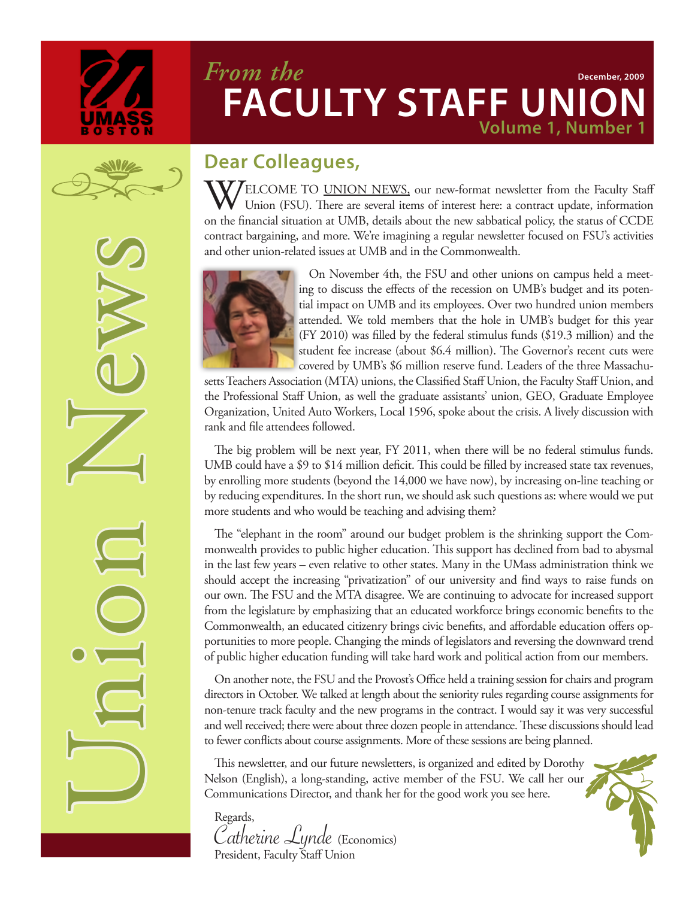

Union News

### **Volume 1, Number** *From the* **FACULTY STAFF UNI December, 2009**



 $\rm \bf W/$ ELCOME TO <u>UNION NEWS</u>, our new-format newsletter from the Faculty Staff Union (FSU). There are several items of interest here: a contract update, information on the financial situation at UMB, details about the new sabbatical policy, the status of CCDE contract bargaining, and more. We're imagining a regular newsletter focused on FSU's activities and other union-related issues at UMB and in the Commonwealth.



On November 4th, the FSU and other unions on campus held a meeting to discuss the effects of the recession on UMB's budget and its potential impact on UMB and its employees. Over two hundred union members attended. We told members that the hole in UMB's budget for this year (FY 2010) was filled by the federal stimulus funds (\$19.3 million) and the student fee increase (about \$6.4 million). The Governor's recent cuts were covered by UMB's \$6 million reserve fund. Leaders of the three Massachu-

setts Teachers Association (MTA) unions, the Classified Staff Union, the Faculty Staff Union, and the Professional Staff Union, as well the graduate assistants' union, GEO, Graduate Employee Organization, United Auto Workers, Local 1596, spoke about the crisis. A lively discussion with rank and file attendees followed.

The big problem will be next year, FY 2011, when there will be no federal stimulus funds. UMB could have a \$9 to \$14 million deficit. This could be filled by increased state tax revenues, by enrolling more students (beyond the 14,000 we have now), by increasing on-line teaching or by reducing expenditures. In the short run, we should ask such questions as: where would we put more students and who would be teaching and advising them?

The "elephant in the room" around our budget problem is the shrinking support the Commonwealth provides to public higher education. This support has declined from bad to abysmal in the last few years – even relative to other states. Many in the UMass administration think we should accept the increasing "privatization" of our university and find ways to raise funds on our own. The FSU and the MTA disagree. We are continuing to advocate for increased support from the legislature by emphasizing that an educated workforce brings economic benefits to the Commonwealth, an educated citizenry brings civic benefits, and affordable education offers opportunities to more people. Changing the minds of legislators and reversing the downward trend of public higher education funding will take hard work and political action from our members.

On another note, the FSU and the Provost's Office held a training session for chairs and program directors in October. We talked at length about the seniority rules regarding course assignments for non-tenure track faculty and the new programs in the contract. I would say it was very successful and well received; there were about three dozen people in attendance. These discussions should lead to fewer conflicts about course assignments. More of these sessions are being planned.

This newsletter, and our future newsletters, is organized and edited by Dorothy Nelson (English), a long-standing, active member of the FSU. We call her our Communications Director, and thank her for the good work you see here.

Regards, Catherine Lynde (Economics) President, Faculty Staff Union

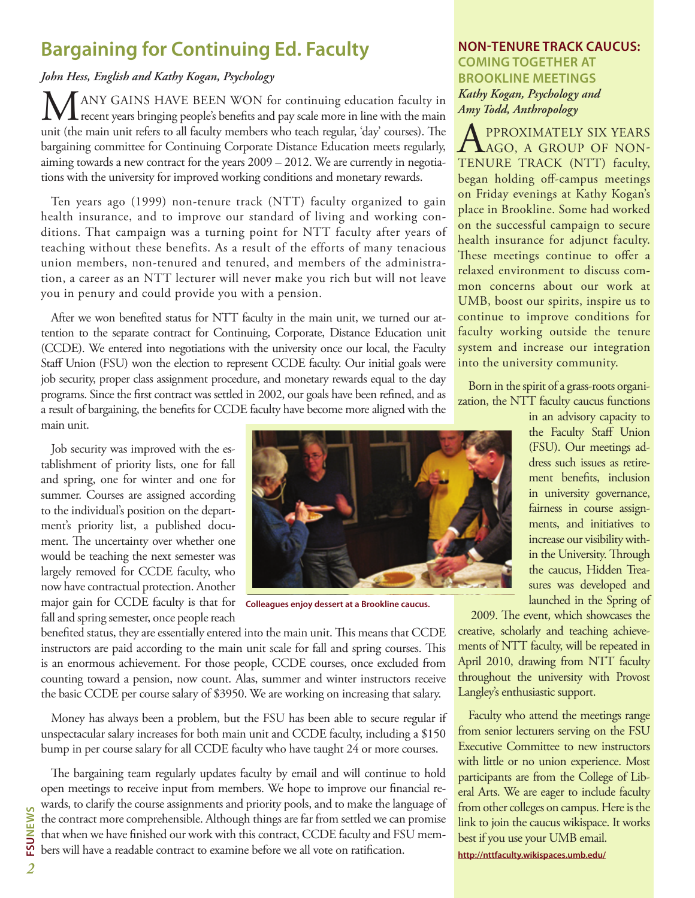## **Bargaining for Continuing Ed. Faculty**

#### *John Hess, English and Kathy Kogan, Psychology*

ANY GAINS HAVE BEEN WON for continuing education faculty in **L** recent years bringing people's benefits and pay scale more in line with the main unit (the main unit refers to all faculty members who teach regular, 'day' courses). The bargaining committee for Continuing Corporate Distance Education meets regularly, aiming towards a new contract for the years 2009 – 2012. We are currently in negotiations with the university for improved working conditions and monetary rewards.

Ten years ago (1999) non-tenure track (NTT) faculty organized to gain health insurance, and to improve our standard of living and working conditions. That campaign was a turning point for NTT faculty after years of teaching without these benefits. As a result of the efforts of many tenacious union members, non-tenured and tenured, and members of the administration, a career as an NTT lecturer will never make you rich but will not leave you in penury and could provide you with a pension.

After we won benefited status for NTT faculty in the main unit, we turned our attention to the separate contract for Continuing, Corporate, Distance Education unit (CCDE). We entered into negotiations with the university once our local, the Faculty Staff Union (FSU) won the election to represent CCDE faculty. Our initial goals were job security, proper class assignment procedure, and monetary rewards equal to the day programs. Since the first contract was settled in 2002, our goals have been refined, and as a result of bargaining, the benefits for CCDE faculty have become more aligned with the main unit.

Job security was improved with the establishment of priority lists, one for fall and spring, one for winter and one for summer. Courses are assigned according to the individual's position on the department's priority list, a published document. The uncertainty over whether one would be teaching the next semester was largely removed for CCDE faculty, who now have contractual protection. Another major gain for CCDE faculty is that for **Colleagues enjoy dessert at a Brookline caucus.**fall and spring semester, once people reach



benefited status, they are essentially entered into the main unit. This means that CCDE instructors are paid according to the main unit scale for fall and spring courses. This is an enormous achievement. For those people, CCDE courses, once excluded from counting toward a pension, now count. Alas, summer and winter instructors receive the basic CCDE per course salary of \$3950. We are working on increasing that salary.

Money has always been a problem, but the FSU has been able to secure regular if unspectacular salary increases for both main unit and CCDE faculty, including a \$150 bump in per course salary for all CCDE faculty who have taught 24 or more courses.

The bargaining team regularly updates faculty by email and will continue to hold open meetings to receive input from members. We hope to improve our financial rewards, to clarify the course assignments and priority pools, and to make the language of the contract more comprehensible. Although things are far from settled we can promise that when we have finished our work with this contract, CCDE faculty and FSU members will have a readable contract to examine before we all vote on ratification.

#### **NON-TENURE TRACK CAUCUS: COMING TOGETHER AT BROOKLINE MEETINGS** *Kathy Kogan, Psychology and Amy Todd, Anthropology*

**A** PPROXIMATELY SIX YEARS<br>
TENURE TRACK (NTT) feelth TENURE TRACK (NTT) faculty, began holding off-campus meetings on Friday evenings at Kathy Kogan's place in Brookline. Some had worked on the successful campaign to secure health insurance for adjunct faculty. These meetings continue to offer a relaxed environment to discuss common concerns about our work at UMB, boost our spirits, inspire us to continue to improve conditions for faculty working outside the tenure system and increase our integration into the university community.

Born in the spirit of a grass-roots organization, the NTT faculty caucus functions

> in an advisory capacity to the Faculty Staff Union (FSU). Our meetings address such issues as retirement benefits, inclusion in university governance, fairness in course assignments, and initiatives to increase our visibility within the University. Through the caucus, Hidden Treasures was developed and launched in the Spring of

2009. The event, which showcases the creative, scholarly and teaching achievements of NTT faculty, will be repeated in April 2010, drawing from NTT faculty throughout the university with Provost Langley's enthusiastic support.

Faculty who attend the meetings range from senior lecturers serving on the FSU Executive Committee to new instructors with little or no union experience. Most participants are from the College of Liberal Arts. We are eager to include faculty from other colleges on campus. Here is the link to join the caucus wikispace. It works best if you use your UMB email.

**http://nttfaculty.wikispaces.umb.edu/**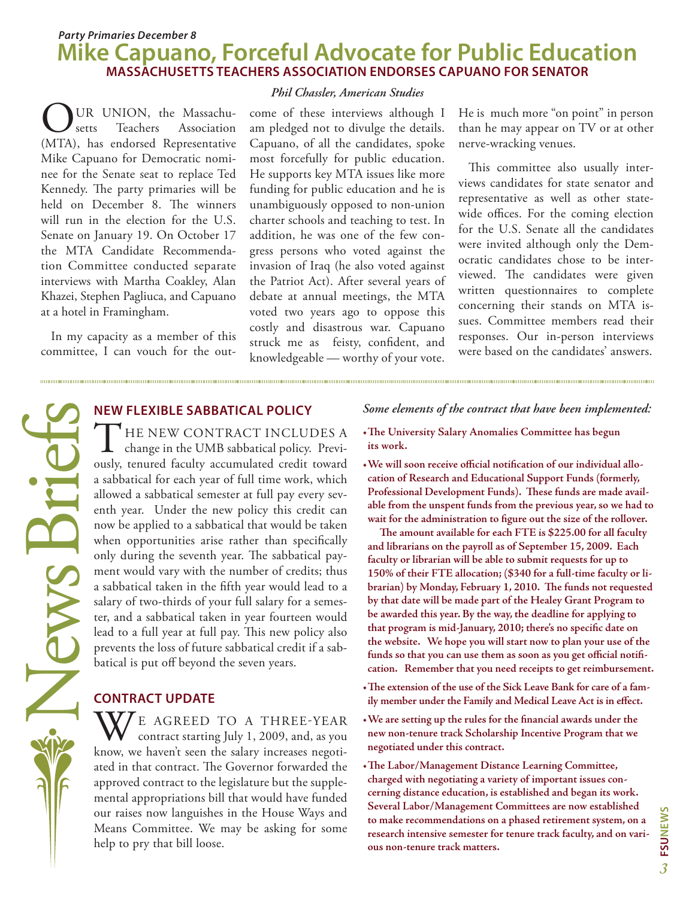#### **Mike Capuano, Forceful Advocate for Public Education MASSACHUSETTS TEACHERS ASSOCIATION ENDORSES CAPUANO FOR SENATOR** *Party Primaries December 8*

UR UNION, the Massachu-<br>setts Teachers Association Association (MTA), has endorsed Representative Mike Capuano for Democratic nominee for the Senate seat to replace Ted Kennedy. The party primaries will be held on December 8. The winners will run in the election for the U.S. Senate on January 19. On October 17 the MTA Candidate Recommendation Committee conducted separate interviews with Martha Coakley, Alan Khazei, Stephen Pagliuca, and Capuano at a hotel in Framingham.

In my capacity as a member of this committee, I can vouch for the out-

#### *Phil Chassler, American Studies*

come of these interviews although I am pledged not to divulge the details. Capuano, of all the candidates, spoke most forcefully for public education. He supports key MTA issues like more funding for public education and he is unambiguously opposed to non-union charter schools and teaching to test. In addition, he was one of the few congress persons who voted against the invasion of Iraq (he also voted against the Patriot Act). After several years of debate at annual meetings, the MTA voted two years ago to oppose this costly and disastrous war. Capuano struck me as feisty, confident, and knowledgeable — worthy of your vote. He is much more "on point" in person than he may appear on TV or at other nerve-wracking venues.

This committee also usually interviews candidates for state senator and representative as well as other statewide offices. For the coming election for the U.S. Senate all the candidates were invited although only the Democratic candidates chose to be interviewed. The candidates were given written questionnaires to complete concerning their stands on MTA issues. Committee members read their responses. Our in-person interviews were based on the candidates' answers.

NEW FLEXIBLE SABBATICAL POLICY<br>
THE NEW CONTRACT INCLUI<br>
change in the UMB sabbatical policy.<br>
ously, tenured faculty accumulated credit<br>
a sabbatical for each year of full time work,<br>
allowed a sabbatical semester at full THE NEW CONTRACT INCLUDES A<br>
change in the UMB sabbatical policy. Previously, tenured faculty accumulated credit toward a sabbatical for each year of full time work, which allowed a sabbatical semester at full pay every seventh year. Under the new policy this credit can now be applied to a sabbatical that would be taken when opportunities arise rather than specifically only during the seventh year. The sabbatical payment would vary with the number of credits; thus a sabbatical taken in the fifth year would lead to a salary of two-thirds of your full salary for a semester, and a sabbatical taken in year fourteen would lead to a full year at full pay. This new policy also prevents the loss of future sabbatical credit if a sabbatical is put off beyond the seven years.

#### **CONTRACT UPDATE**

WE AGREED TO A THREE-YEAR contract starting July 1, 2009, and, as you know, we haven't seen the salary increases negotiated in that contract. The Governor forwarded the approved contract to the legislature but the supplemental appropriations bill that would have funded our raises now languishes in the House Ways and Means Committee. We may be asking for some help to pry that bill loose.

#### *Some elements of the contract that have been implemented:*

- **• The University Salary Anomalies Committee has begun its work.**
- **• We will soon receive official notification of our individual allocation of Research and Educational Support Funds (formerly, Professional Development Funds). These funds are made available from the unspent funds from the previous year,so we had to wait for the administration to figure out the size of the rollover.**

 **The amount available for each FTE is \$225.00 for all faculty and librarians on the payroll as of September 15, 2009. Each faculty or librarian will be able to submit requests for up to 150% of their FTE allocation; (\$340 for a full-time faculty or librarian) by Monday, February 1, 2010. The funds not requested by that date will be made part of the Healey Grant Program to be awarded this year. By the way, the deadline for applying to that program is mid-January, 2010; there's no specific date on the website. We hope you will start now to plan your use of the funds so that you can use them as soon as you get official notification. Remember that you need receipts to get reimbursement.**

- **• The extension of the use of the Sick Leave Bank forcare of a family member under the Family and Medical Leave Act is in effect.**
- **• We are setting up the rules for the financial awards under the new non-tenure track Scholarship Incentive Program that we negotiated under this contract.**
- **• The Labor/Management Distance Learning Committee, charged with negotiating a variety of important issues concerning distance education, is established and began its work. Several Labor/Management Committees are now established to make recommendations on a phased retirement system, on a research intensive semester for tenure track faculty, and on various non-tenure track matters.**